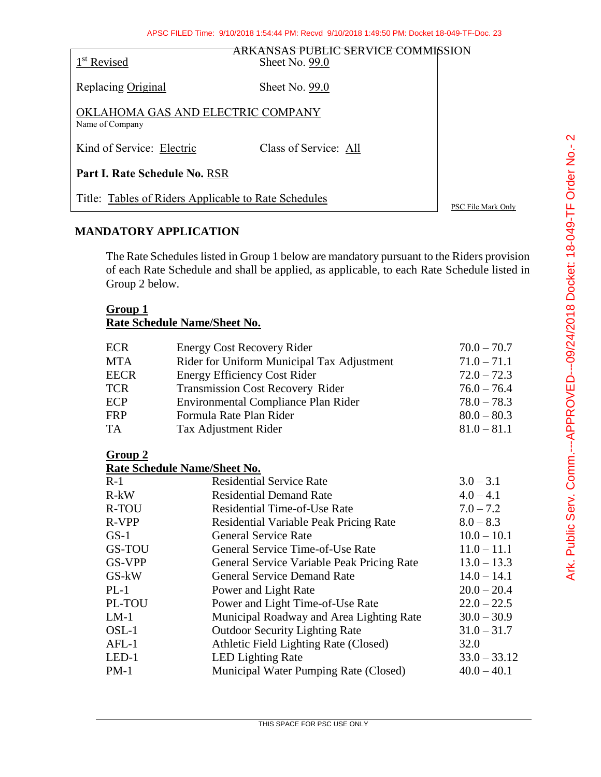| 1 <sup>st</sup> Revised                              | <del>'ANSAS PUBLIC SERVICE COMMI</del> SSION<br>Sheet No. $99.0$ |                    |  |
|------------------------------------------------------|------------------------------------------------------------------|--------------------|--|
| Replacing Original                                   | Sheet No. 99.0                                                   |                    |  |
| OKLAHOMA GAS AND ELECTRIC COMPANY<br>Name of Company |                                                                  |                    |  |
| Kind of Service: Electric                            | Class of Service: All                                            |                    |  |
| Part I. Rate Schedule No. RSR                        |                                                                  |                    |  |
| Title: Tables of Riders Applicable to Rate Schedules |                                                                  | PSC File Mark Only |  |

## **MANDATORY APPLICATION**

The Rate Schedules listed in Group 1 below are mandatory pursuant to the Riders provision of each Rate Schedule and shall be applied, as applicable, to each Rate Schedule listed in Group 2 below.

### **Group 1**

# **Rate Schedule Name/Sheet No.**

| <b>ECR</b>  | <b>Energy Cost Recovery Rider</b>          | $70.0 - 70.7$ |
|-------------|--------------------------------------------|---------------|
| <b>MTA</b>  | Rider for Uniform Municipal Tax Adjustment | $71.0 - 71.1$ |
| <b>EECR</b> | <b>Energy Efficiency Cost Rider</b>        | $72.0 - 72.3$ |
| <b>TCR</b>  | <b>Transmission Cost Recovery Rider</b>    | $76.0 - 76.4$ |
| ECP         | Environmental Compliance Plan Rider        | $78.0 - 78.3$ |
| <b>FRP</b>  | Formula Rate Plan Rider                    | $80.0 - 80.3$ |
| <b>TA</b>   | Tax Adjustment Rider                       | $81.0 - 81.1$ |

### **Group 2**

**Rate Schedule Name/Sheet No.**

| $R-1$         | <b>Residential Service Rate</b>            | $3.0 - 3.1$    |
|---------------|--------------------------------------------|----------------|
| $R-kW$        | <b>Residential Demand Rate</b>             | $4.0 - 4.1$    |
| R-TOU         | <b>Residential Time-of-Use Rate</b>        | $7.0 - 7.2$    |
| R-VPP         | Residential Variable Peak Pricing Rate     | $8.0 - 8.3$    |
| $GS-1$        | <b>General Service Rate</b>                | $10.0 - 10.1$  |
| <b>GS-TOU</b> | General Service Time-of-Use Rate           | $11.0 - 11.1$  |
| <b>GS-VPP</b> | General Service Variable Peak Pricing Rate | $13.0 - 13.3$  |
| GS-kW         | <b>General Service Demand Rate</b>         | $14.0 - 14.1$  |
| $PL-1$        | Power and Light Rate                       | $20.0 - 20.4$  |
| PL-TOU        | Power and Light Time-of-Use Rate           | $22.0 - 22.5$  |
| $LM-1$        | Municipal Roadway and Area Lighting Rate   | $30.0 - 30.9$  |
| $OSL-1$       | <b>Outdoor Security Lighting Rate</b>      | $31.0 - 31.7$  |
| $AFL-1$       | Athletic Field Lighting Rate (Closed)      | 32.0           |
| $LED-1$       | <b>LED Lighting Rate</b>                   | $33.0 - 33.12$ |
| $PM-1$        | Municipal Water Pumping Rate (Closed)      | $40.0 - 40.1$  |
|               |                                            |                |